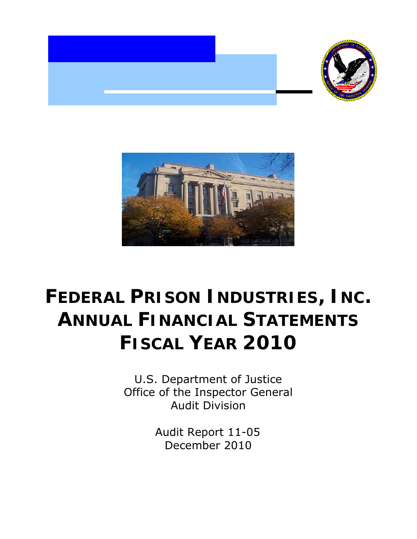



## **FEDERAL PRISON INDUSTRIES, INC. ANNUAL FINANCIAL STATEMENTS FISCAL YEAR 2010**

U.S. Department of Justice Office of the Inspector General Audit Division

> Audit Report 11-05 December 2010